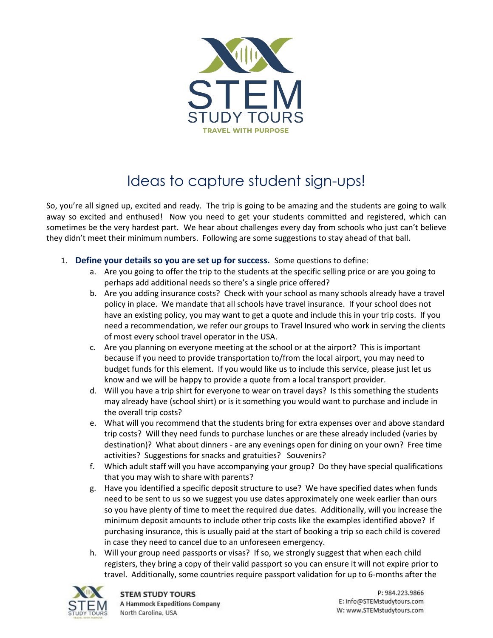

## Ideas to capture student sign-ups!

So, you're all signed up, excited and ready. The trip is going to be amazing and the students are going to walk away so excited and enthused! Now you need to get your students committed and registered, which can sometimes be the very hardest part. We hear about challenges every day from schools who just can't believe they didn't meet their minimum numbers. Following are some suggestions to stay ahead of that ball.

- 1. **Define your details so you are set up for success.** Some questions to define:
	- a. Are you going to offer the trip to the students at the specific selling price or are you going to perhaps add additional needs so there's a single price offered?
	- b. Are you adding insurance costs? Check with your school as many schools already have a travel policy in place. We mandate that all schools have travel insurance. If your school does not have an existing policy, you may want to get a quote and include this in your trip costs. If you need a recommendation, we refer our groups to Travel Insured who work in serving the clients of most every school travel operator in the USA.
	- c. Are you planning on everyone meeting at the school or at the airport? This is important because if you need to provide transportation to/from the local airport, you may need to budget funds for this element. If you would like us to include this service, please just let us know and we will be happy to provide a quote from a local transport provider.
	- d. Will you have a trip shirt for everyone to wear on travel days? Is this something the students may already have (school shirt) or is it something you would want to purchase and include in the overall trip costs?
	- e. What will you recommend that the students bring for extra expenses over and above standard trip costs? Will they need funds to purchase lunches or are these already included (varies by destination)? What about dinners - are any evenings open for dining on your own? Free time activities? Suggestions for snacks and gratuities? Souvenirs?
	- f. Which adult staff will you have accompanying your group? Do they have special qualifications that you may wish to share with parents?
	- g. Have you identified a specific deposit structure to use? We have specified dates when funds need to be sent to us so we suggest you use dates approximately one week earlier than ours so you have plenty of time to meet the required due dates. Additionally, will you increase the minimum deposit amounts to include other trip costs like the examples identified above? If purchasing insurance, this is usually paid at the start of booking a trip so each child is covered in case they need to cancel due to an unforeseen emergency.
	- h. Will your group need passports or visas? If so, we strongly suggest that when each child registers, they bring a copy of their valid passport so you can ensure it will not expire prior to travel. Additionally, some countries require passport validation for up to 6-months after the

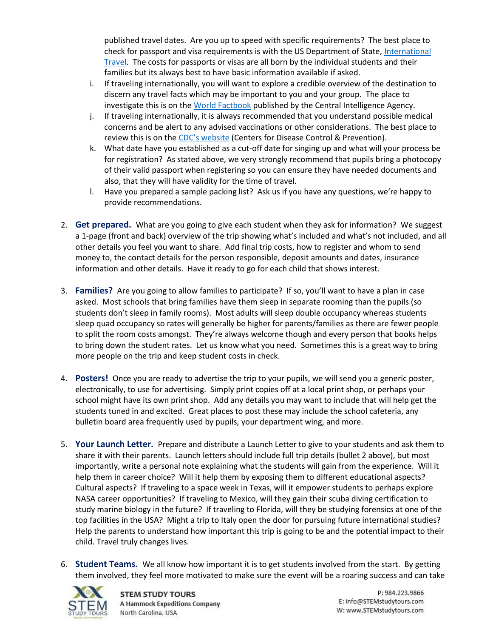published travel dates. Are you up to speed with specific requirements? The best place to check for passport and visa requirements is with the US Department of State, [International](https://travel.state.gov/content/travel/en/international-travel.html)  [Travel.](https://travel.state.gov/content/travel/en/international-travel.html) The costs for passports or visas are all born by the individual students and their families but its always best to have basic information available if asked.

- i. If traveling internationally, you will want to explore a credible overview of the destination to discern any travel facts which may be important to you and your group. The place to investigate this is on th[e World Factbook](https://www.cia.gov/library/publications/the-world-factbook/docs/profileguide.html) published by the Central Intelligence Agency.
- j. If traveling internationally, it is always recommended that you understand possible medical concerns and be alert to any advised vaccinations or other considerations. The best place to review this is on the CDC['s website](https://wwwnc.cdc.gov/travel) (Centers for Disease Control & Prevention).
- k. What date have you established as a cut-off date for singing up and what will your process be for registration? As stated above, we very strongly recommend that pupils bring a photocopy of their valid passport when registering so you can ensure they have needed documents and also, that they will have validity for the time of travel.
- l. Have you prepared a sample packing list? Ask us if you have any questions, we're happy to provide recommendations.
- 2. **Get prepared.** What are you going to give each student when they ask for information? We suggest a 1-page (front and back) overview of the trip showing what's included and what's not included, and all other details you feel you want to share. Add final trip costs, how to register and whom to send money to, the contact details for the person responsible, deposit amounts and dates, insurance information and other details. Have it ready to go for each child that shows interest.
- 3. **Families?** Are you going to allow families to participate? If so, you'll want to have a plan in case asked. Most schools that bring families have them sleep in separate rooming than the pupils (so students don't sleep in family rooms). Most adults will sleep double occupancy whereas students sleep quad occupancy so rates will generally be higher for parents/families as there are fewer people to split the room costs amongst. They're always welcome though and every person that books helps to bring down the student rates. Let us know what you need. Sometimes this is a great way to bring more people on the trip and keep student costs in check.
- 4. **Posters!** Once you are ready to advertise the trip to your pupils, we will send you a generic poster, electronically, to use for advertising. Simply print copies off at a local print shop, or perhaps your school might have its own print shop. Add any details you may want to include that will help get the students tuned in and excited. Great places to post these may include the school cafeteria, any bulletin board area frequently used by pupils, your department wing, and more.
- 5. **Your Launch Letter.** Prepare and distribute a Launch Letter to give to your students and ask them to share it with their parents. Launch letters should include full trip details (bullet 2 above), but most importantly, write a personal note explaining what the students will gain from the experience. Will it help them in career choice? Will it help them by exposing them to different educational aspects? Cultural aspects? If traveling to a space week in Texas, will it empower students to perhaps explore NASA career opportunities? If traveling to Mexico, will they gain their scuba diving certification to study marine biology in the future? If traveling to Florida, will they be studying forensics at one of the top facilities in the USA? Might a trip to Italy open the door for pursuing future international studies? Help the parents to understand how important this trip is going to be and the potential impact to their child. Travel truly changes lives.
- 6. **Student Teams.** We all know how important it is to get students involved from the start. By getting them involved, they feel more motivated to make sure the event will be a roaring success and can take



P: 984.223.9866 E: info@STEMstudytours.com W: www.STEMstudytours.com